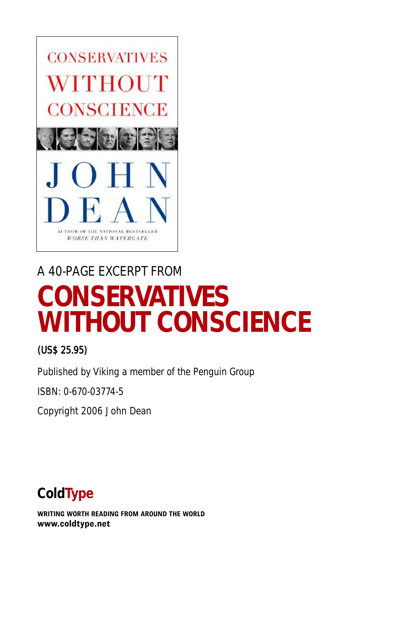

## A 40-PAGE EXCERPT FROM **CONSERVATIVES WITHOUT CONSCIENCE**

#### (US\$ 25.95)

Published by Viking a member of the Penguin Group

ISBN: 0-670-03774-5

Copyright 2006 John Dean

### **ColdType**

**WRITING WORTH READING FROM AROUND THE WORLD www.coldtype.net**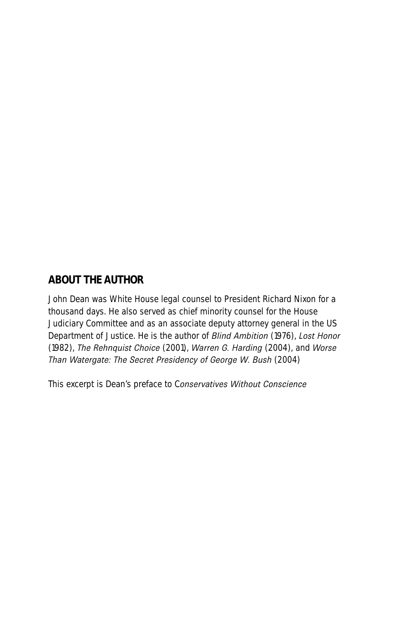#### **ABOUT THE AUTHOR**

John Dean was White House legal counsel to President Richard Nixon for a thousand days. He also served as chief minority counsel for the House Judiciary Committee and as an associate deputy attorney general in the US Department of Justice. He is the author of *Blind Ambition* (1976), *Lost Honor* (1982), *The Rehnquist Choice* (2001), *Warren G. Harding* (2004), and *Worse Than Watergate: The Secret Presidency of George W. Bush* (2004)

This excerpt is Dean's preface to C*onservatives Without Conscience*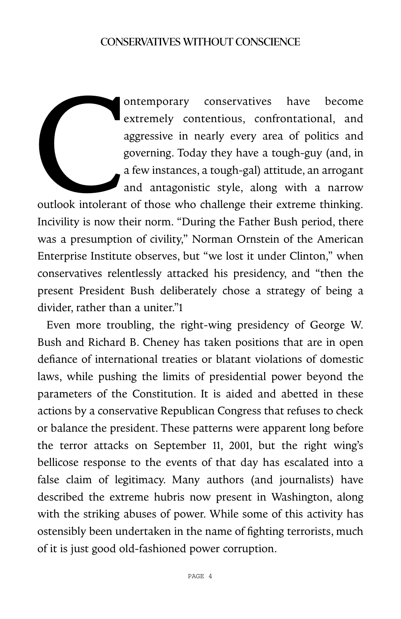ontemporary conservatives have become<br>extremely contentious, confrontational, and<br>aggressive in nearly every area of politics and<br>governing. Today they have a tough-guy (and, in<br>a few instances, a tough-gal) attitude, an a extremely contentious, confrontational, and aggressive in nearly every area of politics and governing. Today they have a tough-guy (and, in a few instances, a tough-gal) attitude, an arrogant

and antagonistic style, along with a narrow outlook intolerant of those who challenge their extreme thinking. Incivility is now their norm. "During the Father Bush period, there was a presumption of civility," Norman Ornstein of the American Enterprise Institute observes, but "we lost it under Clinton," when conservatives relentlessly attacked his presidency, and "then the present President Bush deliberately chose a strategy of being a divider, rather than a uniter."1

Even more troubling, the right-wing presidency of George W. Bush and Richard B. Cheney has taken positions that are in open defiance of international treaties or blatant violations of domestic laws, while pushing the limits of presidential power beyond the parameters of the Constitution. It is aided and abetted in these actions by a conservative Republican Congress that refuses to check or balance the president. These patterns were apparent long before the terror attacks on September 11, 2001, but the right wing's bellicose response to the events of that day has escalated into a false claim of legitimacy. Many authors (and journalists) have described the extreme hubris now present in Washington, along with the striking abuses of power. While some of this activity has ostensibly been undertaken in the name of fighting terrorists, much of it is just good old-fashioned power corruption.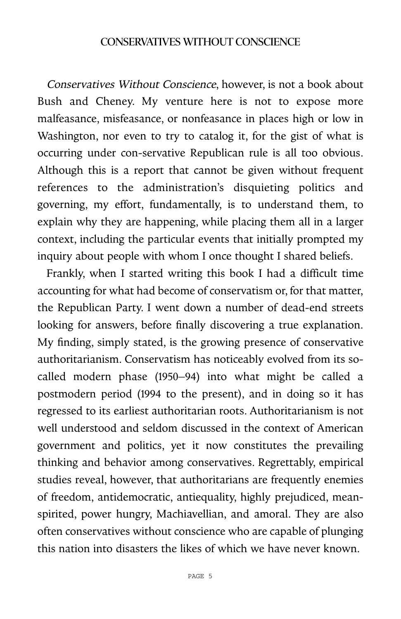Conservatives Without Conscience, however, is not a book about Bush and Cheney. My venture here is not to expose more malfeasance, misfeasance, or nonfeasance in places high or low in Washington, nor even to try to catalog it, for the gist of what is occurring under con-servative Republican rule is all too obvious. Although this is a report that cannot be given without frequent references to the administration's disquieting politics and governing, my effort, fundamentally, is to understand them, to explain why they are happening, while placing them all in a larger context, including the particular events that initially prompted my inquiry about people with whom I once thought I shared beliefs.

Frankly, when I started writing this book I had a difficult time accounting for what had become of conservatism or, for that matter, the Republican Party. I went down a number of dead-end streets looking for answers, before finally discovering a true explanation. My finding, simply stated, is the growing presence of conservative authoritarianism. Conservatism has noticeably evolved from its socalled modern phase (1950–94) into what might be called a postmodern period (1994 to the present), and in doing so it has regressed to its earliest authoritarian roots. Authoritarianism is not well understood and seldom discussed in the context of American government and politics, yet it now constitutes the prevailing thinking and behavior among conservatives. Regrettably, empirical studies reveal, however, that authoritarians are frequently enemies of freedom, antidemocratic, antiequality, highly prejudiced, meanspirited, power hungry, Machiavellian, and amoral. They are also often conservatives without conscience who are capable of plunging this nation into disasters the likes of which we have never known.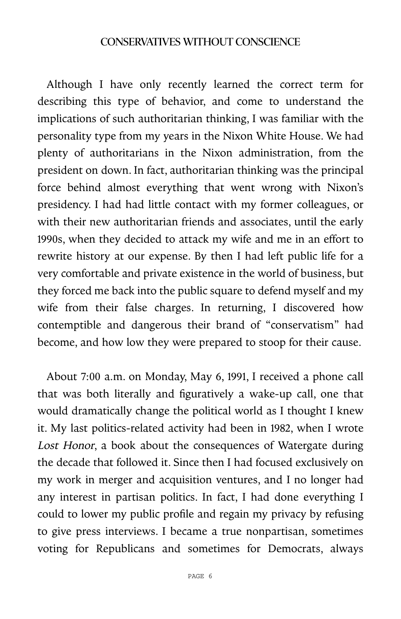Although I have only recently learned the correct term for describing this type of behavior, and come to understand the implications of such authoritarian thinking, I was familiar with the personality type from my years in the Nixon White House. We had plenty of authoritarians in the Nixon administration, from the president on down. In fact, authoritarian thinking was the principal force behind almost everything that went wrong with Nixon's presidency. I had had little contact with my former colleagues, or with their new authoritarian friends and associates, until the early 1990s, when they decided to attack my wife and me in an effort to rewrite history at our expense. By then I had left public life for a very comfortable and private existence in the world of business, but they forced me back into the public square to defend myself and my wife from their false charges. In returning, I discovered how contemptible and dangerous their brand of "conservatism" had become, and how low they were prepared to stoop for their cause.

About 7:00 a.m. on Monday, May 6, 1991, I received a phone call that was both literally and figuratively a wake-up call, one that would dramatically change the political world as I thought I knew it. My last politics-related activity had been in 1982, when I wrote Lost Honor, a book about the consequences of Watergate during the decade that followed it. Since then I had focused exclusively on my work in merger and acquisition ventures, and I no longer had any interest in partisan politics. In fact, I had done everything I could to lower my public profile and regain my privacy by refusing to give press interviews. I became a true nonpartisan, sometimes voting for Republicans and sometimes for Democrats, always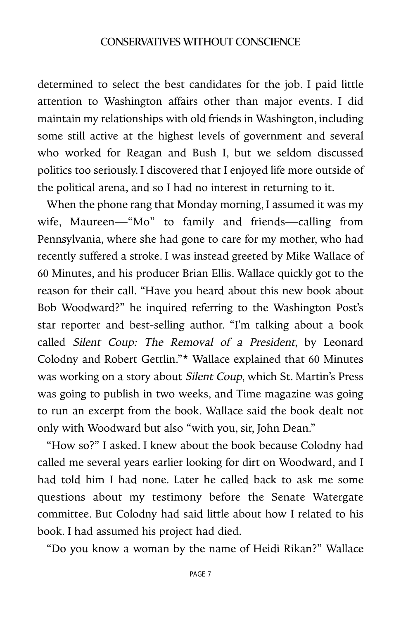determined to select the best candidates for the job. I paid little attention to Washington affairs other than major events. I did maintain my relationships with old friends in Washington, including some still active at the highest levels of government and several who worked for Reagan and Bush I, but we seldom discussed politics too seriously. I discovered that I enjoyed life more outside of the political arena, and so I had no interest in returning to it.

When the phone rang that Monday morning, I assumed it was my wife, Maureen—"Mo" to family and friends—calling from Pennsylvania, where she had gone to care for my mother, who had recently suffered a stroke. I was instead greeted by Mike Wallace of 60 Minutes, and his producer Brian Ellis. Wallace quickly got to the reason for their call. "Have you heard about this new book about Bob Woodward?" he inquired referring to the Washington Post's star reporter and best-selling author. "I'm talking about a book called Silent Coup: The Removal of a President, by Leonard Colodny and Robert Gettlin."\* Wallace explained that 60 Minutes was working on a story about Silent Coup, which St. Martin's Press was going to publish in two weeks, and Time magazine was going to run an excerpt from the book. Wallace said the book dealt not only with Woodward but also "with you, sir, John Dean."

"How so?" I asked. I knew about the book because Colodny had called me several years earlier looking for dirt on Woodward, and I had told him I had none. Later he called back to ask me some questions about my testimony before the Senate Watergate committee. But Colodny had said little about how I related to his book. I had assumed his project had died.

"Do you know a woman by the name of Heidi Rikan?" Wallace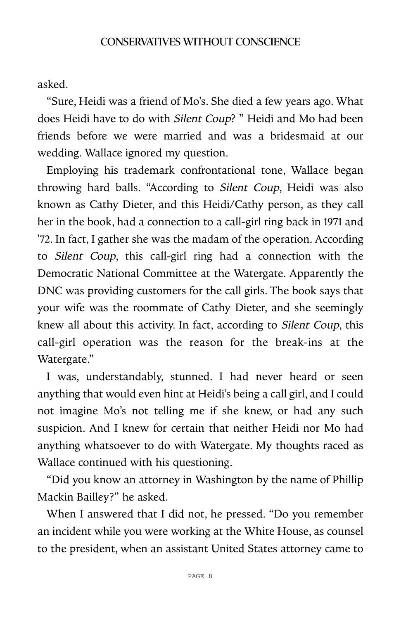#### asked.

"Sure, Heidi was a friend of Mo's. She died a few years ago. What does Heidi have to do with Silent Coup? " Heidi and Mo had been friends before we were married and was a bridesmaid at our wedding. Wallace ignored my question.

Employing his trademark confrontational tone, Wallace began throwing hard balls. "According to Silent Coup, Heidi was also known as Cathy Dieter, and this Heidi/Cathy person, as they call her in the book, had a connection to a call-girl ring back in 1971 and '72. In fact, I gather she was the madam of the operation. According to Silent Coup, this call-girl ring had a connection with the Democratic National Committee at the Watergate. Apparently the DNC was providing customers for the call girls. The book says that your wife was the roommate of Cathy Dieter, and she seemingly knew all about this activity. In fact, according to Silent Coup, this call-girl operation was the reason for the break-ins at the Watergate."

I was, understandably, stunned. I had never heard or seen anything that would even hint at Heidi's being a call girl, and I could not imagine Mo's not telling me if she knew, or had any such suspicion. And I knew for certain that neither Heidi nor Mo had anything whatsoever to do with Watergate. My thoughts raced as Wallace continued with his questioning.

"Did you know an attorney in Washington by the name of Phillip Mackin Bailley?" he asked.

When I answered that I did not, he pressed. "Do you remember an incident while you were working at the White House, as counsel to the president, when an assistant United States attorney came to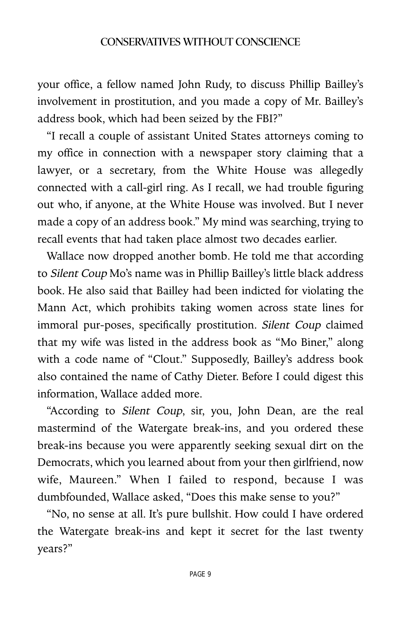your office, a fellow named John Rudy, to discuss Phillip Bailley's involvement in prostitution, and you made a copy of Mr. Bailley's address book, which had been seized by the FBI?"

"I recall a couple of assistant United States attorneys coming to my office in connection with a newspaper story claiming that a lawyer, or a secretary, from the White House was allegedly connected with a call-girl ring. As I recall, we had trouble figuring out who, if anyone, at the White House was involved. But I never made a copy of an address book." My mind was searching, trying to recall events that had taken place almost two decades earlier.

Wallace now dropped another bomb. He told me that according to Silent Coup Mo's name was in Phillip Bailley's little black address book. He also said that Bailley had been indicted for violating the Mann Act, which prohibits taking women across state lines for immoral pur-poses, specifically prostitution. Silent Coup claimed that my wife was listed in the address book as "Mo Biner," along with a code name of "Clout." Supposedly, Bailley's address book also contained the name of Cathy Dieter. Before I could digest this information, Wallace added more.

"According to Silent Coup, sir, you, John Dean, are the real mastermind of the Watergate break-ins, and you ordered these break-ins because you were apparently seeking sexual dirt on the Democrats, which you learned about from your then girlfriend, now wife, Maureen." When I failed to respond, because I was dumbfounded, Wallace asked, "Does this make sense to you?"

"No, no sense at all. It's pure bullshit. How could I have ordered the Watergate break-ins and kept it secret for the last twenty years?"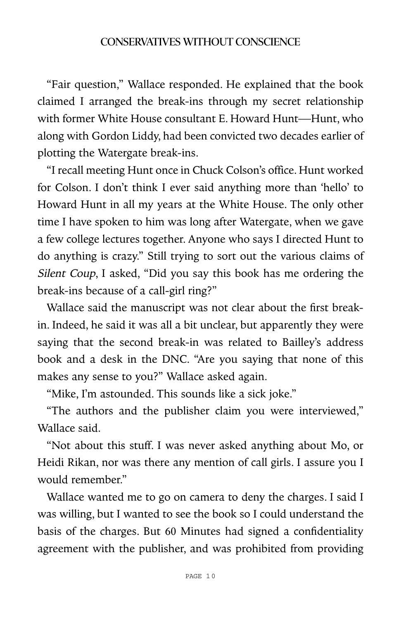"Fair question," Wallace responded. He explained that the book claimed I arranged the break-ins through my secret relationship with former White House consultant E. Howard Hunt—Hunt, who along with Gordon Liddy, had been convicted two decades earlier of plotting the Watergate break-ins.

"I recall meeting Hunt once in Chuck Colson's office. Hunt worked for Colson. I don't think I ever said anything more than 'hello' to Howard Hunt in all my years at the White House. The only other time I have spoken to him was long after Watergate, when we gave a few college lectures together. Anyone who says I directed Hunt to do anything is crazy." Still trying to sort out the various claims of Silent Coup, I asked, "Did you say this book has me ordering the break-ins because of a call-girl ring?"

Wallace said the manuscript was not clear about the first breakin. Indeed, he said it was all a bit unclear, but apparently they were saying that the second break-in was related to Bailley's address book and a desk in the DNC. "Are you saying that none of this makes any sense to you?" Wallace asked again.

"Mike, I'm astounded. This sounds like a sick joke."

"The authors and the publisher claim you were interviewed," Wallace said.

"Not about this stuff. I was never asked anything about Mo, or Heidi Rikan, nor was there any mention of call girls. I assure you I would remember"

Wallace wanted me to go on camera to deny the charges. I said I was willing, but I wanted to see the book so I could understand the basis of the charges. But 60 Minutes had signed a confidentiality agreement with the publisher, and was prohibited from providing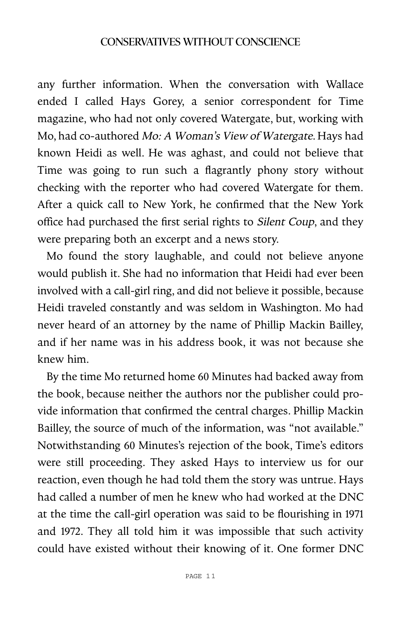any further information. When the conversation with Wallace ended I called Hays Gorey, a senior correspondent for Time magazine, who had not only covered Watergate, but, working with Mo, had co-authored Mo: A Woman's View of Watergate. Hays had known Heidi as well. He was aghast, and could not believe that Time was going to run such a flagrantly phony story without checking with the reporter who had covered Watergate for them. After a quick call to New York, he confirmed that the New York office had purchased the first serial rights to Silent Coup, and they were preparing both an excerpt and a news story.

Mo found the story laughable, and could not believe anyone would publish it. She had no information that Heidi had ever been involved with a call-girl ring, and did not believe it possible, because Heidi traveled constantly and was seldom in Washington. Mo had never heard of an attorney by the name of Phillip Mackin Bailley, and if her name was in his address book, it was not because she knew him.

By the time Mo returned home 60 Minutes had backed away from the book, because neither the authors nor the publisher could provide information that confirmed the central charges. Phillip Mackin Bailley, the source of much of the information, was "not available." Notwithstanding 60 Minutes's rejection of the book, Time's editors were still proceeding. They asked Hays to interview us for our reaction, even though he had told them the story was untrue. Hays had called a number of men he knew who had worked at the DNC at the time the call-girl operation was said to be flourishing in 1971 and 1972. They all told him it was impossible that such activity could have existed without their knowing of it. One former DNC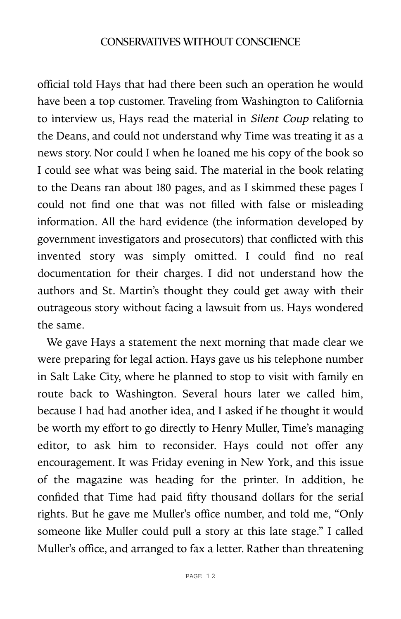official told Hays that had there been such an operation he would have been a top customer. Traveling from Washington to California to interview us, Hays read the material in Silent Coup relating to the Deans, and could not understand why Time was treating it as a news story. Nor could I when he loaned me his copy of the book so I could see what was being said. The material in the book relating to the Deans ran about 180 pages, and as I skimmed these pages I could not find one that was not filled with false or misleading information. All the hard evidence (the information developed by government investigators and prosecutors) that conflicted with this invented story was simply omitted. I could find no real documentation for their charges. I did not understand how the authors and St. Martin's thought they could get away with their outrageous story without facing a lawsuit from us. Hays wondered the same.

We gave Hays a statement the next morning that made clear we were preparing for legal action. Hays gave us his telephone number in Salt Lake City, where he planned to stop to visit with family en route back to Washington. Several hours later we called him, because I had had another idea, and I asked if he thought it would be worth my effort to go directly to Henry Muller, Time's managing editor, to ask him to reconsider. Hays could not offer any encouragement. It was Friday evening in New York, and this issue of the magazine was heading for the printer. In addition, he confided that Time had paid fifty thousand dollars for the serial rights. But he gave me Muller's office number, and told me, "Only someone like Muller could pull a story at this late stage." I called Muller's office, and arranged to fax a letter. Rather than threatening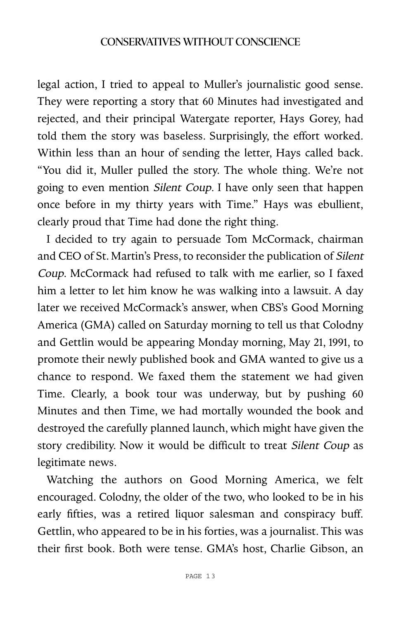legal action, I tried to appeal to Muller's journalistic good sense. They were reporting a story that 60 Minutes had investigated and rejected, and their principal Watergate reporter, Hays Gorey, had told them the story was baseless. Surprisingly, the effort worked. Within less than an hour of sending the letter, Hays called back. "You did it, Muller pulled the story. The whole thing. We're not going to even mention Silent Coup. I have only seen that happen once before in my thirty years with Time." Hays was ebullient, clearly proud that Time had done the right thing.

I decided to try again to persuade Tom McCormack, chairman and CEO of St. Martin's Press, to reconsider the publication of Silent Coup. McCormack had refused to talk with me earlier, so I faxed him a letter to let him know he was walking into a lawsuit. A day later we received McCormack's answer, when CBS's Good Morning America (GMA) called on Saturday morning to tell us that Colodny and Gettlin would be appearing Monday morning, May 21, 1991, to promote their newly published book and GMA wanted to give us a chance to respond. We faxed them the statement we had given Time. Clearly, a book tour was underway, but by pushing 60 Minutes and then Time, we had mortally wounded the book and destroyed the carefully planned launch, which might have given the story credibility. Now it would be difficult to treat Silent Coup as legitimate news.

Watching the authors on Good Morning America, we felt encouraged. Colodny, the older of the two, who looked to be in his early fifties, was a retired liquor salesman and conspiracy buff. Gettlin, who appeared to be in his forties, was a journalist. This was their first book. Both were tense. GMA's host, Charlie Gibson, an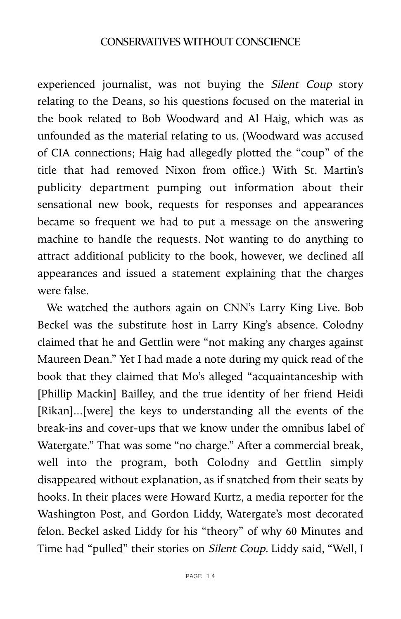experienced journalist, was not buying the Silent Coup story relating to the Deans, so his questions focused on the material in the book related to Bob Woodward and Al Haig, which was as unfounded as the material relating to us. (Woodward was accused of CIA connections; Haig had allegedly plotted the "coup" of the title that had removed Nixon from office.) With St. Martin's publicity department pumping out information about their sensational new book, requests for responses and appearances became so frequent we had to put a message on the answering machine to handle the requests. Not wanting to do anything to attract additional publicity to the book, however, we declined all appearances and issued a statement explaining that the charges were false.

We watched the authors again on CNN's Larry King Live. Bob Beckel was the substitute host in Larry King's absence. Colodny claimed that he and Gettlin were "not making any charges against Maureen Dean." Yet I had made a note during my quick read of the book that they claimed that Mo's alleged "acquaintanceship with [Phillip Mackin] Bailley, and the true identity of her friend Heidi [Rikan]...[were] the keys to understanding all the events of the break-ins and cover-ups that we know under the omnibus label of Watergate." That was some "no charge." After a commercial break, well into the program, both Colodny and Gettlin simply disappeared without explanation, as if snatched from their seats by hooks. In their places were Howard Kurtz, a media reporter for the Washington Post, and Gordon Liddy, Watergate's most decorated felon. Beckel asked Liddy for his "theory" of why 60 Minutes and Time had "pulled" their stories on Silent Coup. Liddy said, "Well, I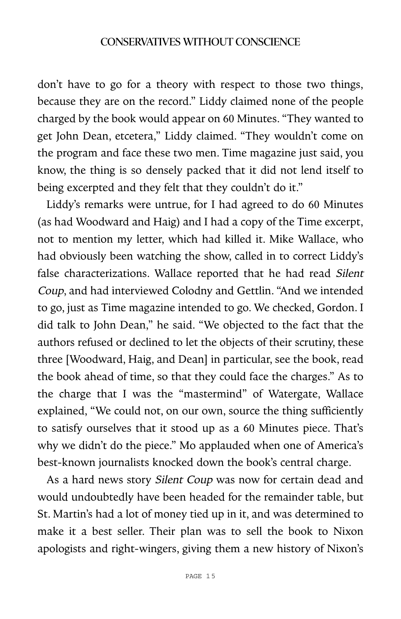don't have to go for a theory with respect to those two things, because they are on the record." Liddy claimed none of the people charged by the book would appear on 60 Minutes. "They wanted to get John Dean, etcetera," Liddy claimed. "They wouldn't come on the program and face these two men. Time magazine just said, you know, the thing is so densely packed that it did not lend itself to being excerpted and they felt that they couldn't do it."

Liddy's remarks were untrue, for I had agreed to do 60 Minutes (as had Woodward and Haig) and I had a copy of the Time excerpt, not to mention my letter, which had killed it. Mike Wallace, who had obviously been watching the show, called in to correct Liddy's false characterizations. Wallace reported that he had read Silent Coup, and had interviewed Colodny and Gettlin. "And we intended to go, just as Time magazine intended to go. We checked, Gordon. I did talk to John Dean," he said. "We objected to the fact that the authors refused or declined to let the objects of their scrutiny, these three [Woodward, Haig, and Dean] in particular, see the book, read the book ahead of time, so that they could face the charges." As to the charge that I was the "mastermind" of Watergate, Wallace explained, "We could not, on our own, source the thing sufficiently to satisfy ourselves that it stood up as a 60 Minutes piece. That's why we didn't do the piece." Mo applauded when one of America's best-known journalists knocked down the book's central charge.

As a hard news story Silent Coup was now for certain dead and would undoubtedly have been headed for the remainder table, but St. Martin's had a lot of money tied up in it, and was determined to make it a best seller. Their plan was to sell the book to Nixon apologists and right-wingers, giving them a new history of Nixon's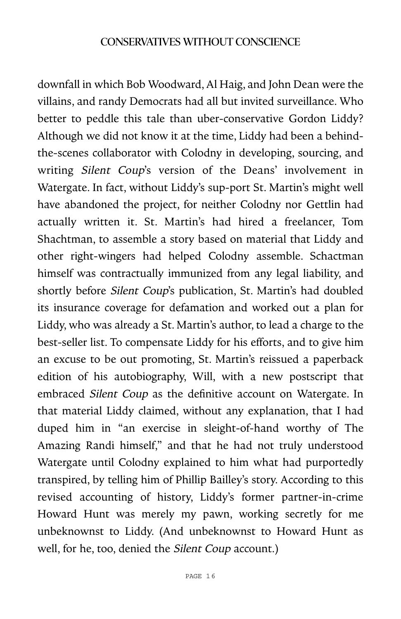downfall in which Bob Woodward, Al Haig, and John Dean were the villains, and randy Democrats had all but invited surveillance. Who better to peddle this tale than uber-conservative Gordon Liddy? Although we did not know it at the time, Liddy had been a behindthe-scenes collaborator with Colodny in developing, sourcing, and writing Silent Coup's version of the Deans' involvement in Watergate. In fact, without Liddy's sup-port St. Martin's might well have abandoned the project, for neither Colodny nor Gettlin had actually written it. St. Martin's had hired a freelancer, Tom Shachtman, to assemble a story based on material that Liddy and other right-wingers had helped Colodny assemble. Schactman himself was contractually immunized from any legal liability, and shortly before Silent Coup's publication, St. Martin's had doubled its insurance coverage for defamation and worked out a plan for Liddy, who was already a St. Martin's author, to lead a charge to the best-seller list. To compensate Liddy for his efforts, and to give him an excuse to be out promoting, St. Martin's reissued a paperback edition of his autobiography, Will, with a new postscript that embraced Silent Coup as the definitive account on Watergate. In that material Liddy claimed, without any explanation, that I had duped him in "an exercise in sleight-of-hand worthy of The Amazing Randi himself," and that he had not truly understood Watergate until Colodny explained to him what had purportedly transpired, by telling him of Phillip Bailley's story. According to this revised accounting of history, Liddy's former partner-in-crime Howard Hunt was merely my pawn, working secretly for me unbeknownst to Liddy. (And unbeknownst to Howard Hunt as well, for he, too, denied the Silent Coup account.)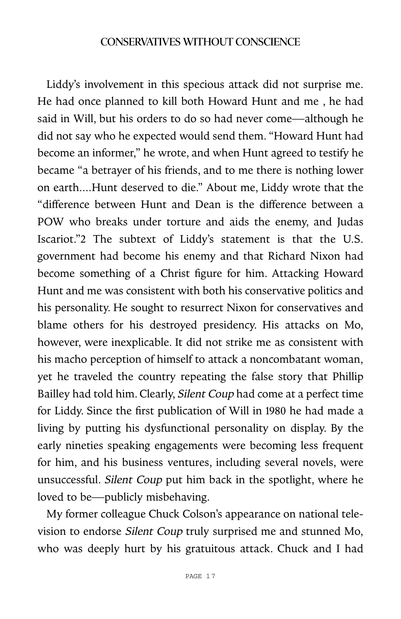Liddy's involvement in this specious attack did not surprise me. He had once planned to kill both Howard Hunt and me , he had said in Will, but his orders to do so had never come—although he did not say who he expected would send them. "Howard Hunt had become an informer," he wrote, and when Hunt agreed to testify he became "a betrayer of his friends, and to me there is nothing lower on earth....Hunt deserved to die." About me, Liddy wrote that the "difference between Hunt and Dean is the difference between a POW who breaks under torture and aids the enemy, and Judas Iscariot."2 The subtext of Liddy's statement is that the U.S. government had become his enemy and that Richard Nixon had become something of a Christ figure for him. Attacking Howard Hunt and me was consistent with both his conservative politics and his personality. He sought to resurrect Nixon for conservatives and blame others for his destroyed presidency. His attacks on Mo, however, were inexplicable. It did not strike me as consistent with his macho perception of himself to attack a noncombatant woman, yet he traveled the country repeating the false story that Phillip Bailley had told him.Clearly, Silent Coup had come at a perfect time for Liddy. Since the first publication of Will in 1980 he had made a living by putting his dysfunctional personality on display. By the early nineties speaking engagements were becoming less frequent for him, and his business ventures, including several novels, were unsuccessful. Silent Coup put him back in the spotlight, where he loved to be—publicly misbehaving.

My former colleague Chuck Colson's appearance on national television to endorse Silent Coup truly surprised me and stunned Mo, who was deeply hurt by his gratuitous attack. Chuck and I had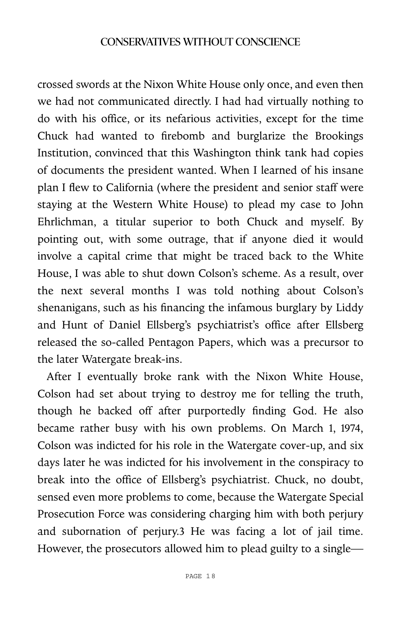crossed swords at the Nixon White House only once, and even then we had not communicated directly. I had had virtually nothing to do with his office, or its nefarious activities, except for the time Chuck had wanted to firebomb and burglarize the Brookings Institution, convinced that this Washington think tank had copies of documents the president wanted. When I learned of his insane plan I flew to California (where the president and senior staff were staying at the Western White House) to plead my case to John Ehrlichman, a titular superior to both Chuck and myself. By pointing out, with some outrage, that if anyone died it would involve a capital crime that might be traced back to the White House, I was able to shut down Colson's scheme. As a result, over the next several months I was told nothing about Colson's shenanigans, such as his financing the infamous burglary by Liddy and Hunt of Daniel Ellsberg's psychiatrist's office after Ellsberg released the so-called Pentagon Papers, which was a precursor to the later Watergate break-ins.

After I eventually broke rank with the Nixon White House, Colson had set about trying to destroy me for telling the truth, though he backed off after purportedly finding God. He also became rather busy with his own problems. On March 1, 1974, Colson was indicted for his role in the Watergate cover-up, and six days later he was indicted for his involvement in the conspiracy to break into the office of Ellsberg's psychiatrist. Chuck, no doubt, sensed even more problems to come, because the Watergate Special Prosecution Force was considering charging him with both perjury and subornation of perjury.3 He was facing a lot of jail time. However, the prosecutors allowed him to plead guilty to a single—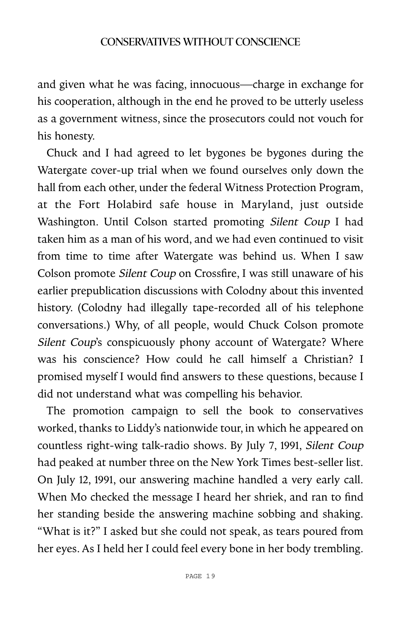and given what he was facing, innocuous—charge in exchange for his cooperation, although in the end he proved to be utterly useless as a government witness, since the prosecutors could not vouch for his honesty.

Chuck and I had agreed to let bygones be bygones during the Watergate cover-up trial when we found ourselves only down the hall from each other, under the federal Witness Protection Program, at the Fort Holabird safe house in Maryland, just outside Washington. Until Colson started promoting Silent Coup I had taken him as a man of his word, and we had even continued to visit from time to time after Watergate was behind us. When I saw Colson promote Silent Coup on Crossfire, I was still unaware of his earlier prepublication discussions with Colodny about this invented history. (Colodny had illegally tape-recorded all of his telephone conversations.) Why, of all people, would Chuck Colson promote Silent Coup's conspicuously phony account of Watergate? Where was his conscience? How could he call himself a Christian? I promised myself I would find answers to these questions, because I did not understand what was compelling his behavior.

The promotion campaign to sell the book to conservatives worked, thanks to Liddy's nationwide tour, in which he appeared on countless right-wing talk-radio shows. By July 7, 1991, Silent Coup had peaked at number three on the New York Times best-seller list. On July 12, 1991, our answering machine handled a very early call. When Mo checked the message I heard her shriek, and ran to find her standing beside the answering machine sobbing and shaking. "What is it?" I asked but she could not speak, as tears poured from her eyes. As I held her I could feel every bone in her body trembling.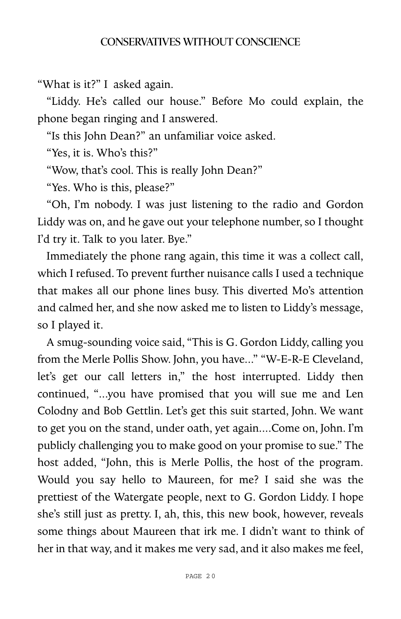"What is it?" I asked again.

"Liddy. He's called our house." Before Mo could explain, the phone began ringing and I answered.

"Is this John Dean?" an unfamiliar voice asked.

"Yes, it is. Who's this?"

"Wow, that's cool. This is really John Dean?"

"Yes. Who is this, please?"

"Oh, I'm nobody. I was just listening to the radio and Gordon Liddy was on, and he gave out your telephone number, so I thought I'd try it. Talk to you later. Bye."

Immediately the phone rang again, this time it was a collect call, which I refused. To prevent further nuisance calls I used a technique that makes all our phone lines busy. This diverted Mo's attention and calmed her, and she now asked me to listen to Liddy's message, so I played it.

A smug-sounding voice said, "This is G. Gordon Liddy, calling you from the Merle Pollis Show. John, you have..." "W-E-R-E Cleveland, let's get our call letters in," the host interrupted. Liddy then continued, "...you have promised that you will sue me and Len Colodny and Bob Gettlin. Let's get this suit started, John. We want to get you on the stand, under oath, yet again....Come on, John. I'm publicly challenging you to make good on your promise to sue." The host added, "John, this is Merle Pollis, the host of the program. Would you say hello to Maureen, for me? I said she was the prettiest of the Watergate people, next to G. Gordon Liddy. I hope she's still just as pretty. I, ah, this, this new book, however, reveals some things about Maureen that irk me. I didn't want to think of her in that way, and it makes me very sad, and it also makes me feel,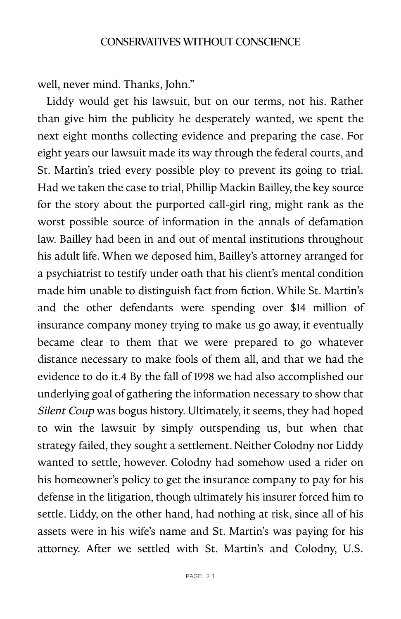well, never mind. Thanks, John."

Liddy would get his lawsuit, but on our terms, not his. Rather than give him the publicity he desperately wanted, we spent the next eight months collecting evidence and preparing the case. For eight years our lawsuit made its way through the federal courts, and St. Martin's tried every possible ploy to prevent its going to trial. Had we taken the case to trial, Phillip Mackin Bailley, the key source for the story about the purported call-girl ring, might rank as the worst possible source of information in the annals of defamation law. Bailley had been in and out of mental institutions throughout his adult life. When we deposed him, Bailley's attorney arranged for a psychiatrist to testify under oath that his client's mental condition made him unable to distinguish fact from fiction. While St. Martin's and the other defendants were spending over \$14 million of insurance company money trying to make us go away, it eventually became clear to them that we were prepared to go whatever distance necessary to make fools of them all, and that we had the evidence to do it.4 By the fall of 1998 we had also accomplished our underlying goal of gathering the information necessary to show that Silent Coup was bogus history. Ultimately, it seems, they had hoped to win the lawsuit by simply outspending us, but when that strategy failed, they sought a settlement. Neither Colodny nor Liddy wanted to settle, however. Colodny had somehow used a rider on his homeowner's policy to get the insurance company to pay for his defense in the litigation, though ultimately his insurer forced him to settle. Liddy, on the other hand, had nothing at risk, since all of his assets were in his wife's name and St. Martin's was paying for his attorney. After we settled with St. Martin's and Colodny, U.S.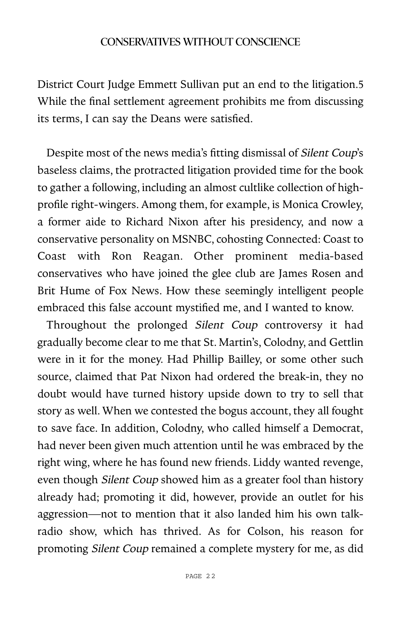District Court Judge Emmett Sullivan put an end to the litigation.5 While the final settlement agreement prohibits me from discussing its terms, I can say the Deans were satisfied.

Despite most of the news media's fitting dismissal of Silent Coup's baseless claims, the protracted litigation provided time for the book to gather a following, including an almost cultlike collection of highprofile right-wingers. Among them, for example, is Monica Crowley, a former aide to Richard Nixon after his presidency, and now a conservative personality on MSNBC, cohosting Connected: Coast to Coast with Ron Reagan. Other prominent media-based conservatives who have joined the glee club are James Rosen and Brit Hume of Fox News. How these seemingly intelligent people embraced this false account mystified me, and I wanted to know.

Throughout the prolonged Silent Coup controversy it had gradually become clear to me that St. Martin's, Colodny, and Gettlin were in it for the money. Had Phillip Bailley, or some other such source, claimed that Pat Nixon had ordered the break-in, they no doubt would have turned history upside down to try to sell that story as well. When we contested the bogus account, they all fought to save face. In addition, Colodny, who called himself a Democrat, had never been given much attention until he was embraced by the right wing, where he has found new friends. Liddy wanted revenge, even though Silent Coup showed him as a greater fool than history already had; promoting it did, however, provide an outlet for his aggression—not to mention that it also landed him his own talkradio show, which has thrived. As for Colson, his reason for promoting Silent Coup remained a complete mystery for me, as did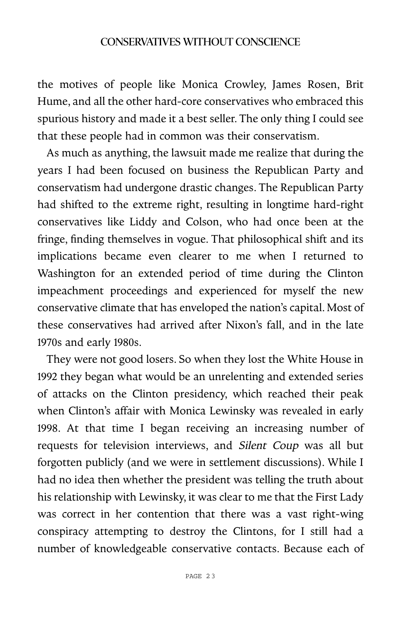the motives of people like Monica Crowley, James Rosen, Brit Hume, and all the other hard-core conservatives who embraced this spurious history and made it a best seller. The only thing I could see that these people had in common was their conservatism.

As much as anything, the lawsuit made me realize that during the years I had been focused on business the Republican Party and conservatism had undergone drastic changes. The Republican Party had shifted to the extreme right, resulting in longtime hard-right conservatives like Liddy and Colson, who had once been at the fringe, finding themselves in vogue. That philosophical shift and its implications became even clearer to me when I returned to Washington for an extended period of time during the Clinton impeachment proceedings and experienced for myself the new conservative climate that has enveloped the nation's capital. Most of these conservatives had arrived after Nixon's fall, and in the late 1970s and early 1980s.

They were not good losers. So when they lost the White House in 1992 they began what would be an unrelenting and extended series of attacks on the Clinton presidency, which reached their peak when Clinton's affair with Monica Lewinsky was revealed in early 1998. At that time I began receiving an increasing number of requests for television interviews, and Silent Coup was all but forgotten publicly (and we were in settlement discussions). While I had no idea then whether the president was telling the truth about his relationship with Lewinsky, it was clear to me that the First Lady was correct in her contention that there was a vast right-wing conspiracy attempting to destroy the Clintons, for I still had a number of knowledgeable conservative contacts. Because each of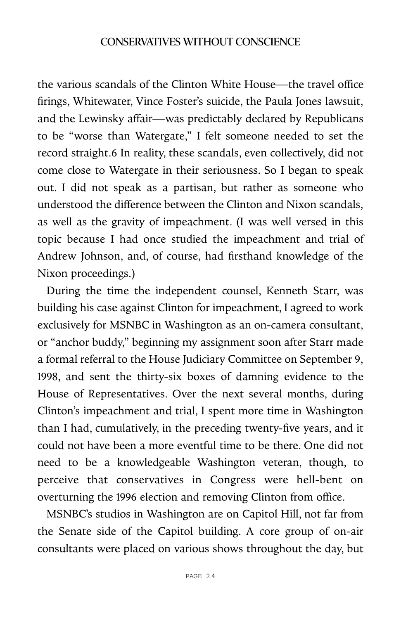the various scandals of the Clinton White House—the travel office firings, Whitewater, Vince Foster's suicide, the Paula Jones lawsuit, and the Lewinsky affair—was predictably declared by Republicans to be "worse than Watergate," I felt someone needed to set the record straight.6 In reality, these scandals, even collectively, did not come close to Watergate in their seriousness. So I began to speak out. I did not speak as a partisan, but rather as someone who understood the difference between the Clinton and Nixon scandals, as well as the gravity of impeachment. (I was well versed in this topic because I had once studied the impeachment and trial of Andrew Johnson, and, of course, had firsthand knowledge of the Nixon proceedings.)

During the time the independent counsel, Kenneth Starr, was building his case against Clinton for impeachment, I agreed to work exclusively for MSNBC in Washington as an on-camera consultant, or "anchor buddy," beginning my assignment soon after Starr made a formal referral to the House Judiciary Committee on September 9, 1998, and sent the thirty-six boxes of damning evidence to the House of Representatives. Over the next several months, during Clinton's impeachment and trial, I spent more time in Washington than I had, cumulatively, in the preceding twenty-five years, and it could not have been a more eventful time to be there. One did not need to be a knowledgeable Washington veteran, though, to perceive that conservatives in Congress were hell-bent on overturning the 1996 election and removing Clinton from office.

MSNBC's studios in Washington are on Capitol Hill, not far from the Senate side of the Capitol building. A core group of on-air consultants were placed on various shows throughout the day, but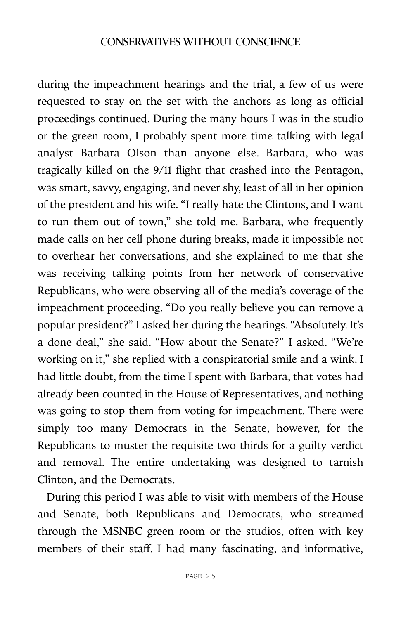during the impeachment hearings and the trial, a few of us were requested to stay on the set with the anchors as long as official proceedings continued. During the many hours I was in the studio or the green room, I probably spent more time talking with legal analyst Barbara Olson than anyone else. Barbara, who was tragically killed on the 9/11 flight that crashed into the Pentagon, was smart, savvy, engaging, and never shy, least of all in her opinion of the president and his wife. "I really hate the Clintons, and I want to run them out of town," she told me. Barbara, who frequently made calls on her cell phone during breaks, made it impossible not to overhear her conversations, and she explained to me that she was receiving talking points from her network of conservative Republicans, who were observing all of the media's coverage of the impeachment proceeding. "Do you really believe you can remove a popular president?" I asked her during the hearings. "Absolutely. It's a done deal," she said. "How about the Senate?" I asked. "We're working on it," she replied with a conspiratorial smile and a wink. I had little doubt, from the time I spent with Barbara, that votes had already been counted in the House of Representatives, and nothing was going to stop them from voting for impeachment. There were simply too many Democrats in the Senate, however, for the Republicans to muster the requisite two thirds for a guilty verdict and removal. The entire undertaking was designed to tarnish Clinton, and the Democrats.

During this period I was able to visit with members of the House and Senate, both Republicans and Democrats, who streamed through the MSNBC green room or the studios, often with key members of their staff. I had many fascinating, and informative,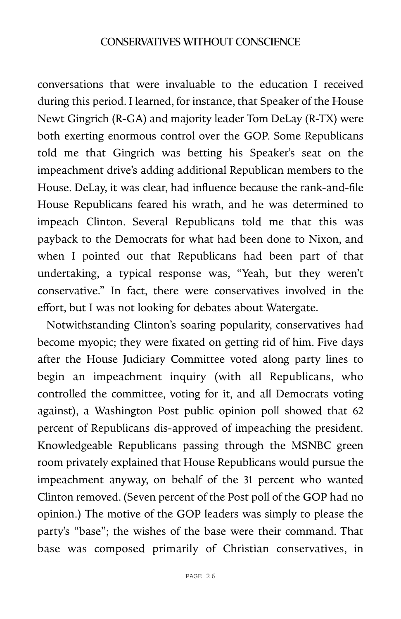conversations that were invaluable to the education I received during this period. I learned, for instance, that Speaker of the House Newt Gingrich (R-GA) and majority leader Tom DeLay (R-TX) were both exerting enormous control over the GOP. Some Republicans told me that Gingrich was betting his Speaker's seat on the impeachment drive's adding additional Republican members to the House. DeLay, it was clear, had influence because the rank-and-file House Republicans feared his wrath, and he was determined to impeach Clinton. Several Republicans told me that this was payback to the Democrats for what had been done to Nixon, and when I pointed out that Republicans had been part of that undertaking, a typical response was, "Yeah, but they weren't conservative." In fact, there were conservatives involved in the effort, but I was not looking for debates about Watergate.

Notwithstanding Clinton's soaring popularity, conservatives had become myopic; they were fixated on getting rid of him. Five days after the House Judiciary Committee voted along party lines to begin an impeachment inquiry (with all Republicans, who controlled the committee, voting for it, and all Democrats voting against), a Washington Post public opinion poll showed that 62 percent of Republicans dis-approved of impeaching the president. Knowledgeable Republicans passing through the MSNBC green room privately explained that House Republicans would pursue the impeachment anyway, on behalf of the 31 percent who wanted Clinton removed. (Seven percent of the Post poll of the GOP had no opinion.) The motive of the GOP leaders was simply to please the party's "base"; the wishes of the base were their command. That base was composed primarily of Christian conservatives, in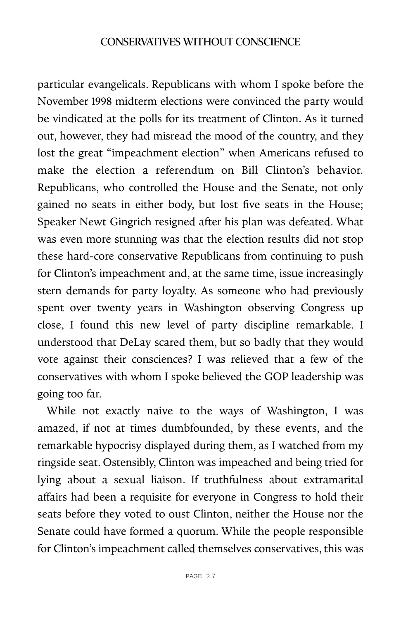particular evangelicals. Republicans with whom I spoke before the November 1998 midterm elections were convinced the party would be vindicated at the polls for its treatment of Clinton. As it turned out, however, they had misread the mood of the country, and they lost the great "impeachment election" when Americans refused to make the election a referendum on Bill Clinton's behavior. Republicans, who controlled the House and the Senate, not only gained no seats in either body, but lost five seats in the House; Speaker Newt Gingrich resigned after his plan was defeated. What was even more stunning was that the election results did not stop these hard-core conservative Republicans from continuing to push for Clinton's impeachment and, at the same time, issue increasingly stern demands for party loyalty. As someone who had previously spent over twenty years in Washington observing Congress up close, I found this new level of party discipline remarkable. I understood that DeLay scared them, but so badly that they would vote against their consciences? I was relieved that a few of the conservatives with whom I spoke believed the GOP leadership was going too far.

While not exactly naive to the ways of Washington, I was amazed, if not at times dumbfounded, by these events, and the remarkable hypocrisy displayed during them, as I watched from my ringside seat. Ostensibly, Clinton was impeached and being tried for lying about a sexual liaison. If truthfulness about extramarital affairs had been a requisite for everyone in Congress to hold their seats before they voted to oust Clinton, neither the House nor the Senate could have formed a quorum. While the people responsible for Clinton's impeachment called themselves conservatives, this was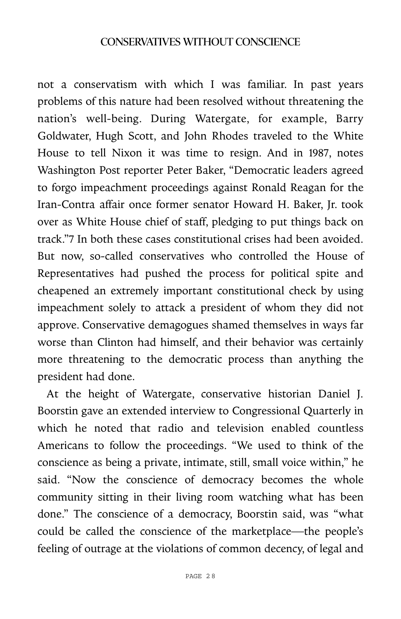not a conservatism with which I was familiar. In past years problems of this nature had been resolved without threatening the nation's well-being. During Watergate, for example, Barry Goldwater, Hugh Scott, and John Rhodes traveled to the White House to tell Nixon it was time to resign. And in 1987, notes Washington Post reporter Peter Baker, "Democratic leaders agreed to forgo impeachment proceedings against Ronald Reagan for the Iran-Contra affair once former senator Howard H. Baker, Jr. took over as White House chief of staff, pledging to put things back on track."7 In both these cases constitutional crises had been avoided. But now, so-called conservatives who controlled the House of Representatives had pushed the process for political spite and cheapened an extremely important constitutional check by using impeachment solely to attack a president of whom they did not approve. Conservative demagogues shamed themselves in ways far worse than Clinton had himself, and their behavior was certainly more threatening to the democratic process than anything the president had done.

At the height of Watergate, conservative historian Daniel J. Boorstin gave an extended interview to Congressional Quarterly in which he noted that radio and television enabled countless Americans to follow the proceedings. "We used to think of the conscience as being a private, intimate, still, small voice within," he said. "Now the conscience of democracy becomes the whole community sitting in their living room watching what has been done." The conscience of a democracy, Boorstin said, was "what could be called the conscience of the marketplace—the people's feeling of outrage at the violations of common decency, of legal and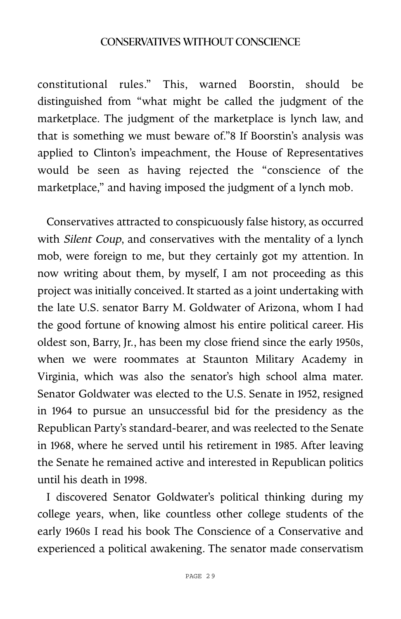constitutional rules." This, warned Boorstin, should be distinguished from "what might be called the judgment of the marketplace. The judgment of the marketplace is lynch law, and that is something we must beware of."8 If Boorstin's analysis was applied to Clinton's impeachment, the House of Representatives would be seen as having rejected the "conscience of the marketplace," and having imposed the judgment of a lynch mob.

Conservatives attracted to conspicuously false history, as occurred with Silent Coup, and conservatives with the mentality of a lynch mob, were foreign to me, but they certainly got my attention. In now writing about them, by myself, I am not proceeding as this project was initially conceived. It started as a joint undertaking with the late U.S. senator Barry M. Goldwater of Arizona, whom I had the good fortune of knowing almost his entire political career. His oldest son, Barry, Jr., has been my close friend since the early 1950s, when we were roommates at Staunton Military Academy in Virginia, which was also the senator's high school alma mater. Senator Goldwater was elected to the U.S. Senate in 1952, resigned in 1964 to pursue an unsuccessful bid for the presidency as the Republican Party's standard-bearer, and was reelected to the Senate in 1968, where he served until his retirement in 1985. After leaving the Senate he remained active and interested in Republican politics until his death in 1998.

I discovered Senator Goldwater's political thinking during my college years, when, like countless other college students of the early 1960s I read his book The Conscience of a Conservative and experienced a political awakening. The senator made conservatism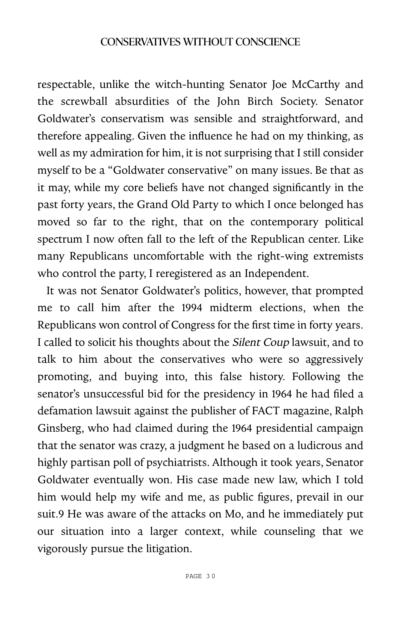respectable, unlike the witch-hunting Senator Joe McCarthy and the screwball absurdities of the John Birch Society. Senator Goldwater's conservatism was sensible and straightforward, and therefore appealing. Given the influence he had on my thinking, as well as my admiration for him, it is not surprising that I still consider myself to be a "Goldwater conservative" on many issues. Be that as it may, while my core beliefs have not changed significantly in the past forty years, the Grand Old Party to which I once belonged has moved so far to the right, that on the contemporary political spectrum I now often fall to the left of the Republican center. Like many Republicans uncomfortable with the right-wing extremists who control the party, I reregistered as an Independent.

It was not Senator Goldwater's politics, however, that prompted me to call him after the 1994 midterm elections, when the Republicans won control of Congress for the first time in forty years. I called to solicit his thoughts about the Silent Coup lawsuit, and to talk to him about the conservatives who were so aggressively promoting, and buying into, this false history. Following the senator's unsuccessful bid for the presidency in 1964 he had filed a defamation lawsuit against the publisher of FACT magazine, Ralph Ginsberg, who had claimed during the 1964 presidential campaign that the senator was crazy, a judgment he based on a ludicrous and highly partisan poll of psychiatrists. Although it took years, Senator Goldwater eventually won. His case made new law, which I told him would help my wife and me, as public figures, prevail in our suit.9 He was aware of the attacks on Mo, and he immediately put our situation into a larger context, while counseling that we vigorously pursue the litigation.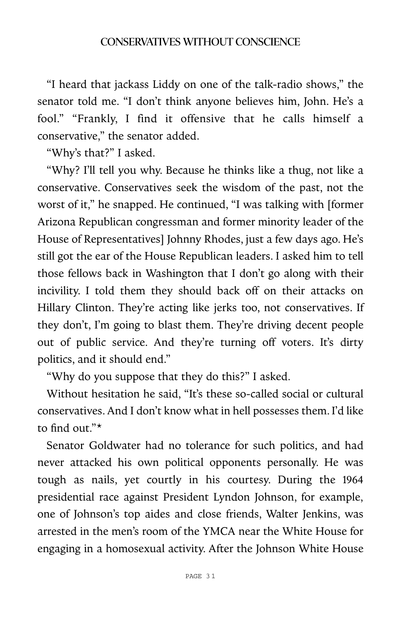"I heard that jackass Liddy on one of the talk-radio shows," the senator told me. "I don't think anyone believes him, John. He's a fool." "Frankly, I find it offensive that he calls himself a conservative," the senator added.

"Why's that?" I asked.

"Why? I'll tell you why. Because he thinks like a thug, not like a conservative. Conservatives seek the wisdom of the past, not the worst of it," he snapped. He continued, "I was talking with [former Arizona Republican congressman and former minority leader of the House of Representatives] Johnny Rhodes, just a few days ago. He's still got the ear of the House Republican leaders. I asked him to tell those fellows back in Washington that I don't go along with their incivility. I told them they should back off on their attacks on Hillary Clinton. They're acting like jerks too, not conservatives. If they don't, I'm going to blast them. They're driving decent people out of public service. And they're turning off voters. It's dirty politics, and it should end."

"Why do you suppose that they do this?" I asked.

Without hesitation he said, "It's these so-called social or cultural conservatives. And I don't know what in hell possesses them. I'd like to find out" $*$ 

Senator Goldwater had no tolerance for such politics, and had never attacked his own political opponents personally. He was tough as nails, yet courtly in his courtesy. During the 1964 presidential race against President Lyndon Johnson, for example, one of Johnson's top aides and close friends, Walter Jenkins, was arrested in the men's room of the YMCA near the White House for engaging in a homosexual activity. After the Johnson White House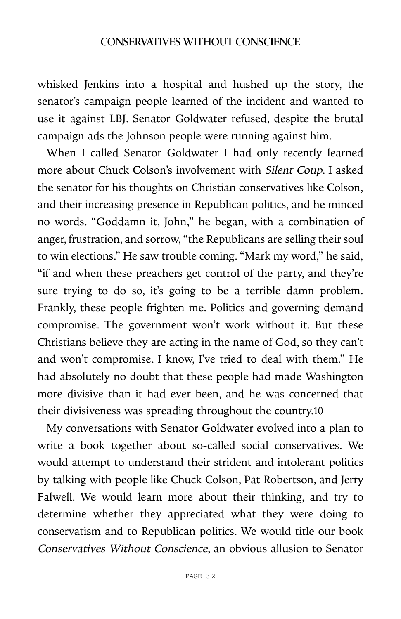whisked Jenkins into a hospital and hushed up the story, the senator's campaign people learned of the incident and wanted to use it against LBJ. Senator Goldwater refused, despite the brutal campaign ads the Johnson people were running against him.

When I called Senator Goldwater I had only recently learned more about Chuck Colson's involvement with Silent Coup. I asked the senator for his thoughts on Christian conservatives like Colson, and their increasing presence in Republican politics, and he minced no words. "Goddamn it, John," he began, with a combination of anger, frustration, and sorrow, "the Republicans are selling their soul to win elections." He saw trouble coming. "Mark my word," he said, "if and when these preachers get control of the party, and they're sure trying to do so, it's going to be a terrible damn problem. Frankly, these people frighten me. Politics and governing demand compromise. The government won't work without it. But these Christians believe they are acting in the name of God, so they can't and won't compromise. I know, I've tried to deal with them." He had absolutely no doubt that these people had made Washington more divisive than it had ever been, and he was concerned that their divisiveness was spreading throughout the country.10

My conversations with Senator Goldwater evolved into a plan to write a book together about so-called social conservatives. We would attempt to understand their strident and intolerant politics by talking with people like Chuck Colson, Pat Robertson, and Jerry Falwell. We would learn more about their thinking, and try to determine whether they appreciated what they were doing to conservatism and to Republican politics. We would title our book Conservatives Without Conscience, an obvious allusion to Senator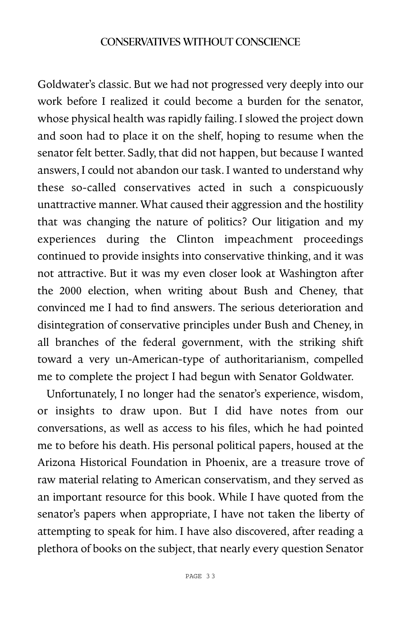Goldwater's classic. But we had not progressed very deeply into our work before I realized it could become a burden for the senator, whose physical health was rapidly failing. I slowed the project down and soon had to place it on the shelf, hoping to resume when the senator felt better. Sadly, that did not happen, but because I wanted answers, I could not abandon our task. I wanted to understand why these so-called conservatives acted in such a conspicuously unattractive manner. What caused their aggression and the hostility that was changing the nature of politics? Our litigation and my experiences during the Clinton impeachment proceedings continued to provide insights into conservative thinking, and it was not attractive. But it was my even closer look at Washington after the 2000 election, when writing about Bush and Cheney, that convinced me I had to find answers. The serious deterioration and disintegration of conservative principles under Bush and Cheney, in all branches of the federal government, with the striking shift toward a very un-American-type of authoritarianism, compelled me to complete the project I had begun with Senator Goldwater.

Unfortunately, I no longer had the senator's experience, wisdom, or insights to draw upon. But I did have notes from our conversations, as well as access to his files, which he had pointed me to before his death. His personal political papers, housed at the Arizona Historical Foundation in Phoenix, are a treasure trove of raw material relating to American conservatism, and they served as an important resource for this book. While I have quoted from the senator's papers when appropriate, I have not taken the liberty of attempting to speak for him. I have also discovered, after reading a plethora of books on the subject, that nearly every question Senator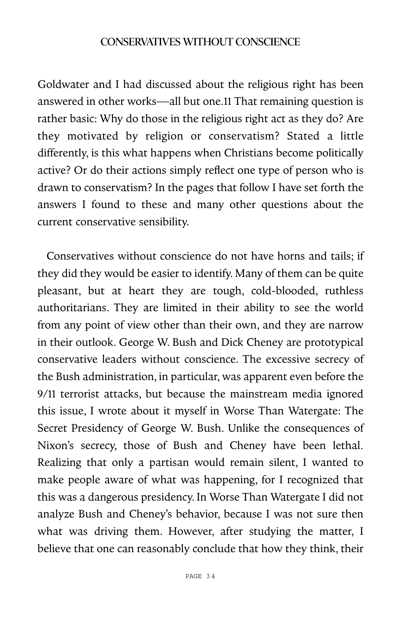Goldwater and I had discussed about the religious right has been answered in other works—all but one.11 That remaining question is rather basic: Why do those in the religious right act as they do? Are they motivated by religion or conservatism? Stated a little differently, is this what happens when Christians become politically active? Or do their actions simply reflect one type of person who is drawn to conservatism? In the pages that follow I have set forth the answers I found to these and many other questions about the current conservative sensibility.

Conservatives without conscience do not have horns and tails; if they did they would be easier to identify. Many of them can be quite pleasant, but at heart they are tough, cold-blooded, ruthless authoritarians. They are limited in their ability to see the world from any point of view other than their own, and they are narrow in their outlook. George W. Bush and Dick Cheney are prototypical conservative leaders without conscience. The excessive secrecy of the Bush administration, in particular, was apparent even before the 9/11 terrorist attacks, but because the mainstream media ignored this issue, I wrote about it myself in Worse Than Watergate: The Secret Presidency of George W. Bush. Unlike the consequences of Nixon's secrecy, those of Bush and Cheney have been lethal. Realizing that only a partisan would remain silent, I wanted to make people aware of what was happening, for I recognized that this was a dangerous presidency. In Worse Than Watergate I did not analyze Bush and Cheney's behavior, because I was not sure then what was driving them. However, after studying the matter, I believe that one can reasonably conclude that how they think, their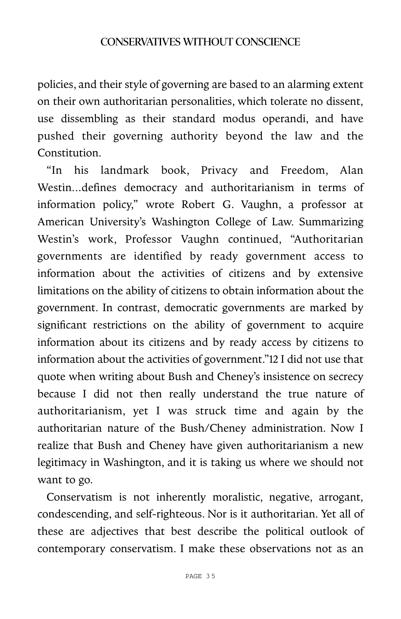policies, and their style of governing are based to an alarming extent on their own authoritarian personalities, which tolerate no dissent, use dissembling as their standard modus operandi, and have pushed their governing authority beyond the law and the Constitution.

"In his landmark book, Privacy and Freedom, Alan Westin...defines democracy and authoritarianism in terms of information policy," wrote Robert G. Vaughn, a professor at American University's Washington College of Law. Summarizing Westin's work, Professor Vaughn continued, "Authoritarian governments are identified by ready government access to information about the activities of citizens and by extensive limitations on the ability of citizens to obtain information about the government. In contrast, democratic governments are marked by significant restrictions on the ability of government to acquire information about its citizens and by ready access by citizens to information about the activities of government."12 I did not use that quote when writing about Bush and Cheney's insistence on secrecy because I did not then really understand the true nature of authoritarianism, yet I was struck time and again by the authoritarian nature of the Bush/Cheney administration. Now I realize that Bush and Cheney have given authoritarianism a new legitimacy in Washington, and it is taking us where we should not want to go.

Conservatism is not inherently moralistic, negative, arrogant, condescending, and self-righteous. Nor is it authoritarian. Yet all of these are adjectives that best describe the political outlook of contemporary conservatism. I make these observations not as an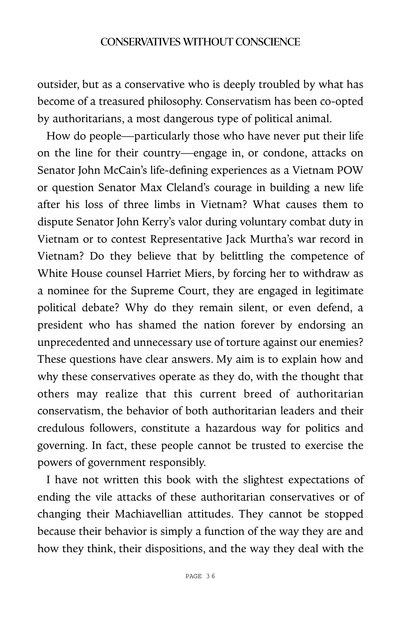outsider, but as a conservative who is deeply troubled by what has become of a treasured philosophy. Conservatism has been co-opted by authoritarians, a most dangerous type of political animal.

How do people—particularly those who have never put their life on the line for their country—engage in, or condone, attacks on Senator John McCain's life-defining experiences as a Vietnam POW or question Senator Max Cleland's courage in building a new life after his loss of three limbs in Vietnam? What causes them to dispute Senator John Kerry's valor during voluntary combat duty in Vietnam or to contest Representative Jack Murtha's war record in Vietnam? Do they believe that by belittling the competence of White House counsel Harriet Miers, by forcing her to withdraw as a nominee for the Supreme Court, they are engaged in legitimate political debate? Why do they remain silent, or even defend, a president who has shamed the nation forever by endorsing an unprecedented and unnecessary use of torture against our enemies? These questions have clear answers. My aim is to explain how and why these conservatives operate as they do, with the thought that others may realize that this current breed of authoritarian conservatism, the behavior of both authoritarian leaders and their credulous followers, constitute a hazardous way for politics and governing. In fact, these people cannot be trusted to exercise the powers of government responsibly.

I have not written this book with the slightest expectations of ending the vile attacks of these authoritarian conservatives or of changing their Machiavellian attitudes. They cannot be stopped because their behavior is simply a function of the way they are and how they think, their dispositions, and the way they deal with the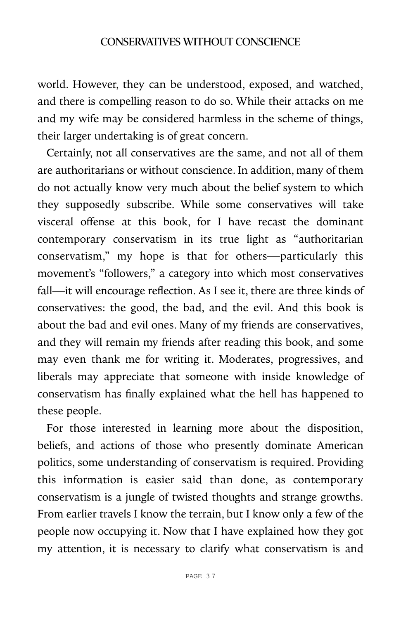world. However, they can be understood, exposed, and watched, and there is compelling reason to do so. While their attacks on me and my wife may be considered harmless in the scheme of things, their larger undertaking is of great concern.

Certainly, not all conservatives are the same, and not all of them are authoritarians or without conscience. In addition, many of them do not actually know very much about the belief system to which they supposedly subscribe. While some conservatives will take visceral offense at this book, for I have recast the dominant contemporary conservatism in its true light as "authoritarian conservatism," my hope is that for others—particularly this movement's "followers," a category into which most conservatives fall—it will encourage reflection. As I see it, there are three kinds of conservatives: the good, the bad, and the evil. And this book is about the bad and evil ones. Many of my friends are conservatives, and they will remain my friends after reading this book, and some may even thank me for writing it. Moderates, progressives, and liberals may appreciate that someone with inside knowledge of conservatism has finally explained what the hell has happened to these people.

For those interested in learning more about the disposition, beliefs, and actions of those who presently dominate American politics, some understanding of conservatism is required. Providing this information is easier said than done, as contemporary conservatism is a jungle of twisted thoughts and strange growths. From earlier travels I know the terrain, but I know only a few of the people now occupying it. Now that I have explained how they got my attention, it is necessary to clarify what conservatism is and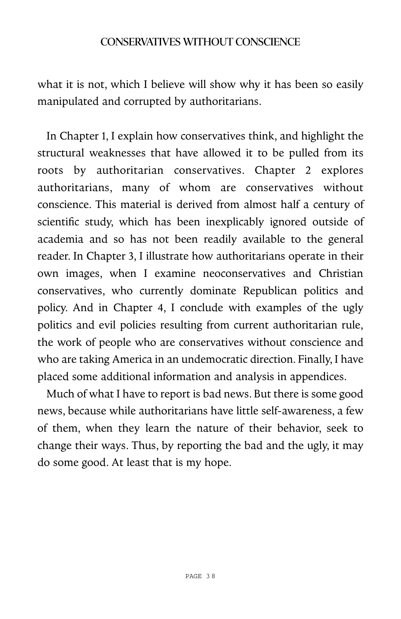what it is not, which I believe will show why it has been so easily manipulated and corrupted by authoritarians.

In Chapter 1, I explain how conservatives think, and highlight the structural weaknesses that have allowed it to be pulled from its roots by authoritarian conservatives. Chapter 2 explores authoritarians, many of whom are conservatives without conscience. This material is derived from almost half a century of scientific study, which has been inexplicably ignored outside of academia and so has not been readily available to the general reader. In Chapter 3, I illustrate how authoritarians operate in their own images, when I examine neoconservatives and Christian conservatives, who currently dominate Republican politics and policy. And in Chapter 4, I conclude with examples of the ugly politics and evil policies resulting from current authoritarian rule, the work of people who are conservatives without conscience and who are taking America in an undemocratic direction. Finally, I have placed some additional information and analysis in appendices.

Much of what I have to report is bad news. But there is some good news, because while authoritarians have little self-awareness, a few of them, when they learn the nature of their behavior, seek to change their ways. Thus, by reporting the bad and the ugly, it may do some good. At least that is my hope.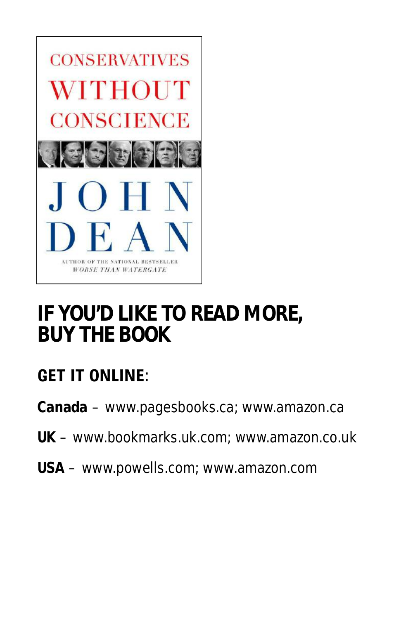

## **IF YOU'D LIKE TO READ MORE, BUY THE BOOK**

## **GET IT ONLINE**:

- **Canada** www.pagesbooks.ca; www.amazon.ca
- **UK** www.bookmarks.uk.com; www.amazon.co.uk
- **USA** www.powells.com; www.amazon.com